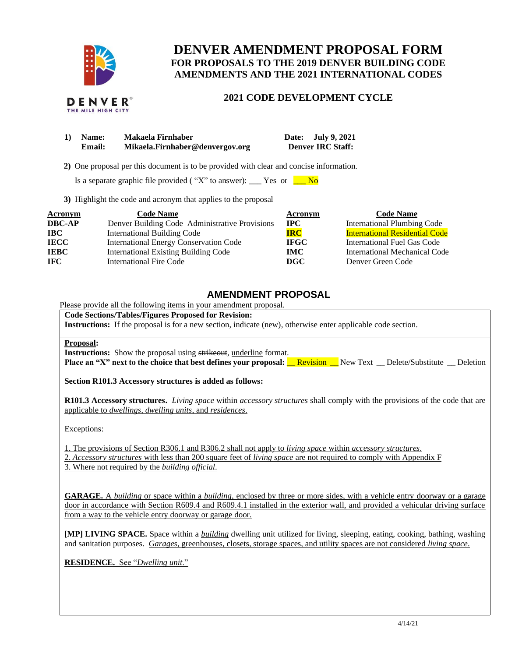

THE MILE HIGH CITY

# **DENVER AMENDMENT PROPOSAL FORM FOR PROPOSALS TO THE 2019 DENVER BUILDING CODE AMENDMENTS AND THE 2021 INTERNATIONAL CODES**

## **2021 CODE DEVELOPMENT CYCLE**

| 1) | <b>Name:</b>  | Makaela Firnhaber               | Date: July 9, 2021       |
|----|---------------|---------------------------------|--------------------------|
|    | <b>Email:</b> | Mikaela.Firnhaber@denvergov.org | <b>Denver IRC Staff:</b> |

 **2)** One proposal per this document is to be provided with clear and concise information.

Is a separate graphic file provided ( "X" to answer): \_\_\_\_ Yes or  $\blacksquare$  No

**3)** Highlight the code and acronym that applies to the proposal

| Acronym       | <b>Code Name</b>                               | Acronym      | <b>Code Name</b>                      |
|---------------|------------------------------------------------|--------------|---------------------------------------|
| <b>DBC-AP</b> | Denver Building Code-Administrative Provisions | $_{\rm IPC}$ | <b>International Plumbing Code</b>    |
| IBC -         | <b>International Building Code</b>             | <b>IRC</b>   | <b>International Residential Code</b> |
| <b>IECC</b>   | International Energy Conservation Code         | <b>IFGC</b>  | International Fuel Gas Code           |
| <b>IEBC</b>   | <b>International Existing Building Code</b>    | <b>IMC</b>   | International Mechanical Code         |
| IFC -         | <b>International Fire Code</b>                 | <b>DGC</b>   | Denver Green Code                     |

## **AMENDMENT PROPOSAL**

Please provide all the following items in your amendment proposal.

### **Code Sections/Tables/Figures Proposed for Revision:**

**Instructions:** If the proposal is for a new section, indicate (new), otherwise enter applicable code section.

#### **Proposal:**

**Instructions:** Show the proposal using strikeout, underline format.

**Place an "X" next to the choice that best defines your proposal:** <u>Revision New Text</u> Delete/Substitute Deletion

**Section R101.3 Accessory structures is added as follows:**

**R101.3 Accessory structures.** *Living space* within *accessory structures* shall comply with the provisions of the code that are applicable to *dwellings, dwelling units*, and *residences*.

Exceptions:

1. The provisions of Section R306.1 and R306.2 shall not apply to *living space* within *accessory structures*. 2. *Accessory structures* with less than 200 square feet of *living space* are not required to comply with Appendix F 3. Where not required by the *building official*.

**GARAGE.** A *building* or space within a *building*, enclosed by three or more sides, with a vehicle entry doorway or a garage door in accordance with Section R609.4 and R609.4.1 installed in the exterior wall, and provided a vehicular driving surface from a way to the vehicle entry doorway or garage door.

**[MP] LIVING SPACE.** Space within a *building* dwelling unit utilized for living, sleeping, eating, cooking, bathing, washing and sanitation purposes. *Garages*, greenhouses, closets, storage spaces, and utility spaces are not considered *living space*.

**RESIDENCE.** See "*Dwelling unit*."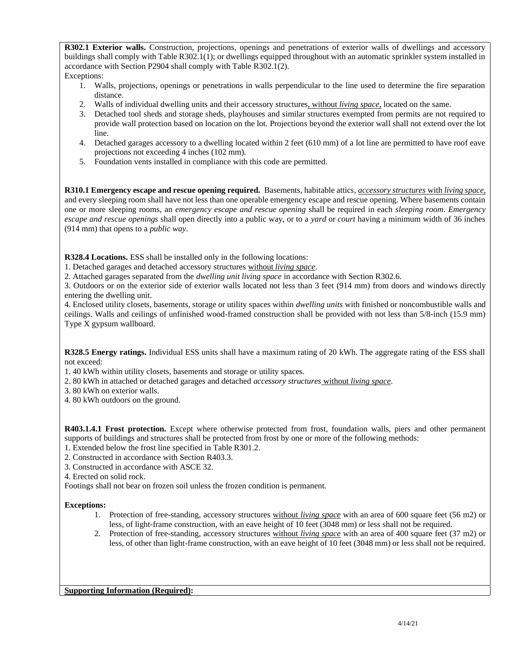**R302.1 Exterior walls.** Construction, projections, openings and penetrations of exterior walls of dwellings and accessory buildings shall comply with Table R302.1(1); or dwellings equipped throughout with an automatic sprinkler system installed in accordance with Section P2904 shall comply with Table R302.1(2). Exceptions:

- 1. Walls, projections, openings or penetrations in walls perpendicular to the line used to determine the fire separation distance.
- 2. Walls of individual dwelling units and their accessory structures, without *living space*, located on the same.
- 3. Detached tool sheds and storage sheds, playhouses and similar structures exempted from permits are not required to provide wall protection based on location on the lot. Projections beyond the exterior wall shall not extend over the lot line.
- 4. Detached garages accessory to a dwelling located within 2 feet (610 mm) of a lot line are permitted to have roof eave projections not exceeding 4 inches (102 mm).
- 5. Foundation vents installed in compliance with this code are permitted.

**R310.1 Emergency escape and rescue opening required.** Basements, habitable attics, *accessory structures* with *living space*, and every sleeping room shall have not less than one operable emergency escape and rescue opening. Where basements contain one or more sleeping rooms, an *emergency escape and rescue opening* shall be required in each *sleeping room*. *Emergency escape and rescue openings* shall open directly into a public way, or to a *yard* or *court* having a minimum width of 36 inches (914 mm) that opens to a *public way*.

**R328.4 Locations.** ESS shall be installed only in the following locations:

1. Detached garages and detached accessory structures without *living space*.

2. Attached garages separated from the *dwelling unit living space* in accordance with Section R302.6.

3. Outdoors or on the exterior side of exterior walls located not less than 3 feet (914 mm) from doors and windows directly entering the dwelling unit.

4. Enclosed utility closets, basements, storage or utility spaces within *dwelling units* with finished or noncombustible walls and ceilings. Walls and ceilings of unfinished wood-framed construction shall be provided with not less than 5/8-inch (15.9 mm) Type X gypsum wallboard.

**R328.5 Energy ratings.** Individual ESS units shall have a maximum rating of 20 kWh. The aggregate rating of the ESS shall not exceed:

1. 40 kWh within utility closets, basements and storage or utility spaces.

2. 80 kWh in attached or detached garages and detached *accessory structures* without *living space*.

3. 80 kWh on exterior walls.

4. 80 kWh outdoors on the ground.

**R403.1.4.1 Frost protection.** Except where otherwise protected from frost, foundation walls, piers and other permanent supports of buildings and structures shall be protected from frost by one or more of the following methods: 1. Extended below the frost line specified in Table R301.2.

2. Constructed in accordance with Section R403.3.

3. Constructed in accordance with ASCE 32.

4. Erected on solid rock.

Footings shall not bear on frozen soil unless the frozen condition is permanent.

### **Exceptions:**

- 1. Protection of free-standing, accessory structures without *living space* with an area of 600 square feet (56 m2) or less, of light-frame construction, with an eave height of 10 feet (3048 mm) or less shall not be required.
- 2. Protection of free-standing, accessory structures without *living space* with an area of 400 square feet (37 m2) or less, of other than light-frame construction, with an eave height of 10 feet (3048 mm) or less shall not be required.

**Supporting Information (Required):**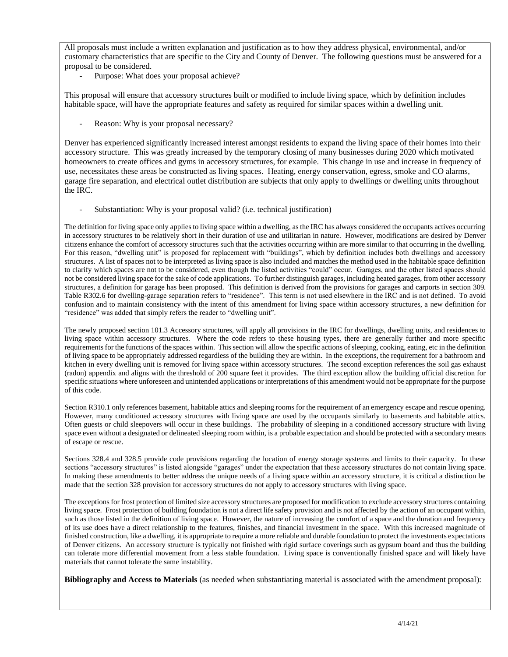All proposals must include a written explanation and justification as to how they address physical, environmental, and/or customary characteristics that are specific to the City and County of Denver. The following questions must be answered for a proposal to be considered.

Purpose: What does your proposal achieve?

This proposal will ensure that accessory structures built or modified to include living space, which by definition includes habitable space, will have the appropriate features and safety as required for similar spaces within a dwelling unit.

Reason: Why is your proposal necessary?

Denver has experienced significantly increased interest amongst residents to expand the living space of their homes into their accessory structure. This was greatly increased by the temporary closing of many businesses during 2020 which motivated homeowners to create offices and gyms in accessory structures, for example. This change in use and increase in frequency of use, necessitates these areas be constructed as living spaces. Heating, energy conservation, egress, smoke and CO alarms, garage fire separation, and electrical outlet distribution are subjects that only apply to dwellings or dwelling units throughout the IRC.

Substantiation: Why is your proposal valid? (i.e. technical justification)

The definition for living space only applies to living space within a dwelling, as the IRC has always considered the occupants actives occurring in accessory structures to be relatively short in their duration of use and utilitarian in nature. However, modifications are desired by Denver citizens enhance the comfort of accessory structures such that the activities occurring within are more similar to that occurring in the dwelling. For this reason, "dwelling unit" is proposed for replacement with "buildings", which by definition includes both dwellings and accessory structures. A list of spaces not to be interpreted as living space is also included and matches the method used in the habitable space definition to clarify which spaces are not to be considered, even though the listed activities "could" occur. Garages, and the other listed spaces should not be considered living space for the sake of code applications. To further distinguish garages, including heated garages, from other accessory structures, a definition for garage has been proposed. This definition is derived from the provisions for garages and carports in section 309. Table R302.6 for dwelling-garage separation refers to "residence". This term is not used elsewhere in the IRC and is not defined. To avoid confusion and to maintain consistency with the intent of this amendment for living space within accessory structures, a new definition for "residence" was added that simply refers the reader to "dwelling unit".

The newly proposed section 101.3 Accessory structures, will apply all provisions in the IRC for dwellings, dwelling units, and residences to living space within accessory structures. Where the code refers to these housing types, there are generally further and more specific requirements for the functions of the spaces within. This section will allow the specific actions of sleeping, cooking, eating, etc in the definition of living space to be appropriately addressed regardless of the building they are within. In the exceptions, the requirement for a bathroom and kitchen in every dwelling unit is removed for living space within accessory structures. The second exception references the soil gas exhaust (radon) appendix and aligns with the threshold of 200 square feet it provides. The third exception allow the building official discretion for specific situations where unforeseen and unintended applications or interpretations of this amendment would not be appropriate for the purpose of this code.

Section R310.1 only references basement, habitable attics and sleeping rooms for the requirement of an emergency escape and rescue opening. However, many conditioned accessory structures with living space are used by the occupants similarly to basements and habitable attics. Often guests or child sleepovers will occur in these buildings. The probability of sleeping in a conditioned accessory structure with living space even without a designated or delineated sleeping room within, is a probable expectation and should be protected with a secondary means of escape or rescue.

Sections 328.4 and 328.5 provide code provisions regarding the location of energy storage systems and limits to their capacity. In these sections "accessory structures" is listed alongside "garages" under the expectation that these accessory structures do not contain living space. In making these amendments to better address the unique needs of a living space within an accessory structure, it is critical a distinction be made that the section 328 provision for accessory structures do not apply to accessory structures with living space.

The exceptions for frost protection of limited size accessory structures are proposed for modification to exclude accessory structures containing living space. Frost protection of building foundation is not a direct life safety provision and is not affected by the action of an occupant within, such as those listed in the definition of living space. However, the nature of increasing the comfort of a space and the duration and frequency of its use does have a direct relationship to the features, finishes, and financial investment in the space. With this increased magnitude of finished construction, like a dwelling, it is appropriate to require a more reliable and durable foundation to protect the investments expectations of Denver citizens. An accessory structure is typically not finished with rigid surface coverings such as gypsum board and thus the building can tolerate more differential movement from a less stable foundation. Living space is conventionally finished space and will likely have materials that cannot tolerate the same instability.

**Bibliography and Access to Materials** (as needed when substantiating material is associated with the amendment proposal):